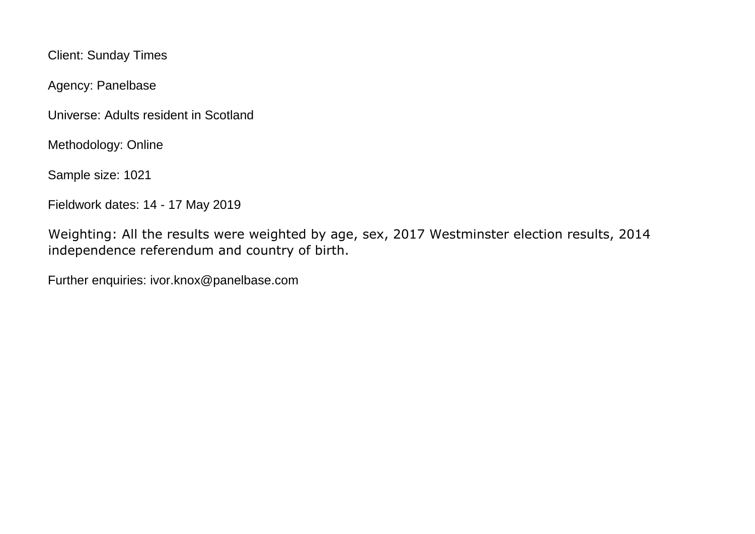Client: Sunday Times

Agency: Panelbase

Universe: Adults resident in Scotland

Methodology: Online

Sample size: 1021

Fieldwork dates: 14 - 17 May 2019

Weighting: All the results were weighted by age, sex, 2017 Westminster election results, 2014 independence referendum and country of birth.

Further enquiries: ivor.knox@panelbase.com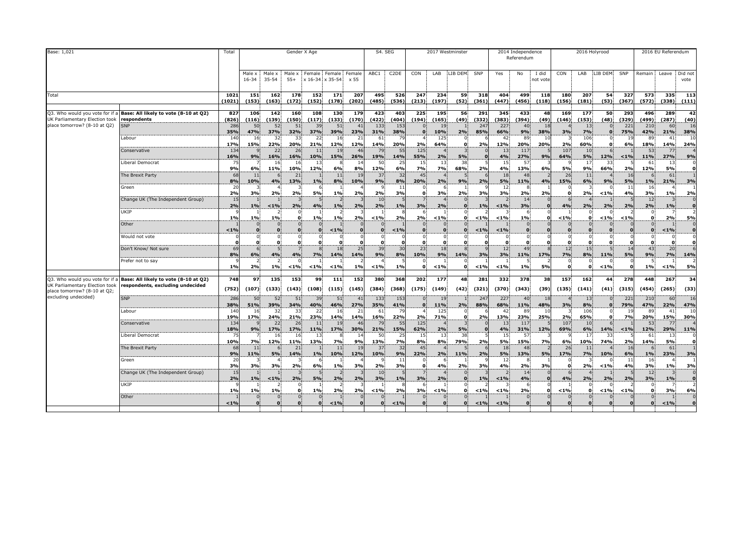| Base: 1,021                                                                                     |                                                                           | Total                  |                      |                      |                 | Gender X Age         |                           |                 |                      | S4. SEG           |                          |                                | 2017 Westminster         |              |                 | 2014 Independence<br>Referendum |                   |                      |                               | 2016 Holyrood |                   |                 | 2016 EU Referendum          |                                   |
|-------------------------------------------------------------------------------------------------|---------------------------------------------------------------------------|------------------------|----------------------|----------------------|-----------------|----------------------|---------------------------|-----------------|----------------------|-------------------|--------------------------|--------------------------------|--------------------------|--------------|-----------------|---------------------------------|-------------------|----------------------|-------------------------------|---------------|-------------------|-----------------|-----------------------------|-----------------------------------|
|                                                                                                 |                                                                           |                        | Male x<br>$16 - 34$  | Male x<br>$35 - 54$  | Male x<br>$55+$ | Female               | Female<br>x 16-34 x 35-54 | Female<br>x 55  | ABC1                 | C <sub>2</sub> DE | CON                      | LAB                            | LIB DEM                  | SNP          | Yes             | No                              | I did<br>not vote | CON                  | LAB                           | LIB DEM       | SNP               | Remain          | Leave                       | Did not<br>vote                   |
| Total                                                                                           |                                                                           | 1021<br>(1021)         | 151<br>(153)         | 162<br>(163)         | 178<br>(172)    | 152<br>(152)         | 171<br>(178)              | 207<br>(202)    | 495<br>(485)         | 526<br>(536)      | 247<br>(213)             | 234<br>(197)                   | 59<br>(52)               | 318<br>(361) | 404<br>(447)    | 499<br>(456)                    | 118<br>(118)      | 180<br>(156)         | 207<br>(181)                  | 54<br>(53)    | 327<br>(367)      | 573<br>(572)    | 335<br>(338)                | 113<br>(111)                      |
| Q3. Who would you vote for if a<br>UK Parliamentary Election took                               | Base: All likely to vote (8-10 at Q2)<br>respondents                      | 827<br>(826)           | 106<br>(116)         | 142<br>(139)         | 160<br>(150)    | 108<br>(117)         | 130<br>(133)              | 179<br>(170)    | 423<br>(422)         | 403<br>(404)      | 225<br>(194)             | 195<br>(165)                   | 56<br>(49)               | 291<br>(332) | 345<br>(383)    | 433<br>(394)                    | 48<br>(49)        | 169<br>(146)         | 177<br>(153)                  | 50<br>(48)    | 293<br>(329)      | 496<br>(499)    | 289<br>(287)                | 42<br>(40)                        |
| place tomorrow? (8-10 at Q2)                                                                    | <b>SNP</b>                                                                | 286<br>35%             | 50<br>47%            | 52<br>37%            | 51<br>32%       | 39<br>37%            | 51<br>39%                 | 41<br>23%       | 133<br>31%           | 153<br>38%        | $\mathbf{0}$<br>$\bf{0}$ | 19<br>10%                      | 2%                       | 247<br>85%   | 227<br>66%      | 40<br>9%                        | 18<br>38%         | 3%                   | 13<br>7%                      |               | 221<br><b>75%</b> | 210<br>42%      | 60<br>21%                   | 16<br>38%                         |
|                                                                                                 | Labour<br>Conservative                                                    | 140<br>17%<br>134      | 16<br>15%            | 32<br>22%<br>22      | 33<br>20%<br>26 | 22<br>21%<br>11      | 16<br>12%<br>19           | 21<br>12%<br>46 | 61<br>14%<br>79      | 79<br>20%<br>55   | 2%<br>125                | 125<br>64%                     | $\mathbf 0$              | 2%           | 42<br>12%<br>13 | 89<br>20%<br>117                | 10<br>20%         | 2%<br>107            | 106<br>60%<br>10 <sup>1</sup> |               | 19<br>6%          | 89<br>18%<br>53 | 41<br>14%<br>77             | 10<br>24%<br>$\Delta$             |
|                                                                                                 | Liberal Democrat                                                          | 16%<br>75              | 9%                   | 16%<br>16            | 16%<br>16       | 10%<br>13            | 15%                       | 26%<br>14       | 19%<br>50            | 14%<br>25         | 55%<br>15                | 2%<br>13                       | $5\%$<br>38              |              | 4%<br>15        | 27%<br>57                       | 9%                | 64%                  | 5%<br>17                      | 12%<br>33     | < 1%              | 11%<br>61       | 27%<br>13                   | 9%<br>$\mathbf 0$                 |
|                                                                                                 | The Brexit Party                                                          | 9%<br>68               | 6%<br>11             | 11%                  | 10%<br>21       | 12%                  | 6%<br>11                  | 8%<br>19        | 12%<br>37            | 6%<br>32          | <b>7%</b><br>45          | 7%                             | 68%                      | 2%           | 4%<br>18        | 13%<br>48                       | 6%                | 5%<br>26             | 9%<br>11                      | 66%           | 2%<br>16          | 12%             | 5%<br>61                    | o<br>1                            |
|                                                                                                 | Green                                                                     | 8%<br>20<br>2%         | 10%                  | 4%<br>2%             | 13%<br>2%       | 1%<br>-6<br>5%       | 8%<br>1%                  | 10%<br>2%       | 9%<br>2%             | 8%<br>-11<br>3%   | 20%<br>$\mathbf{0}$      | 2%<br>3%                       | 9%<br>2%                 | 2%<br>3%     | 5%<br>12<br>3%  | 11%                             | 4%<br>2%          | 15%<br>$\mathbf{o}$  | 6%                            | 9%            | 5%<br>11<br>4%    | 1%<br>16<br>3%  | 21%                         | 3%                                |
|                                                                                                 | Change UK (The Independent Group)                                         | 15<br>2%               | 3%<br>1%             | < 1%                 | 2%              | 4%                   | 1%                        | 2%              | 10<br>2%             | 1%                | 3%                       | 2%                             | $\Omega$<br>$\mathbf{0}$ | 1%           | < 1%            | 2%<br>14<br>3%                  |                   | 4%                   | 2%<br>2%                      | $< 1\%$<br>2% | 2%                | 12<br>2%        | 1%<br>1%                    | 2%<br>$\mathbf{0}$<br>$\mathbf 0$ |
|                                                                                                 | UKIP                                                                      | 1%                     | 1%                   | 1%                   | 0               | 1%                   | 1%                        | 2%              | < 1%                 | 2%                | -6<br>2%                 | < 1%                           | 0.                       | $< 1\%$      | < 1%            | 6<br>1%                         |                   | $< 1\%$              | $\Omega$<br>0                 | $< 1\%$       | < 1%              | $\Omega$        | 2%                          | $\overline{z}$<br>5%              |
|                                                                                                 | Other                                                                     | < 1%                   | $\Omega$<br>$\bf{0}$ |                      | $\Omega$        | $\bf{0}$             | $< 1\%$                   |                 | $\Omega$<br>$\Omega$ | < 1%              | $\Omega$<br>$\bf{0}$     | $\overline{0}$<br>$\mathbf{0}$ | O                        | $< 1\%$      | < 1%            | $\Omega$<br>$\mathbf{0}$        |                   | $\mathbf{0}$         | $\Omega$<br>$\bf{0}$          |               |                   |                 | < 1%                        | $\Omega$<br>$\mathbf 0$           |
|                                                                                                 | Would not vote                                                            |                        | 0.<br>O<br>6         | $\mathbf{0}$<br>0.   | $\Omega$        | $\Omega$<br>$\Omega$ | $\Omega$<br>n             |                 | $\Omega$<br>$\Omega$ |                   | $\Omega$<br>$\mathbf{0}$ | 0.<br>$\mathbf{O}$             | O                        | $\Omega$     | $\Omega$        | 0.<br>0.                        |                   | $\Omega$<br>$\Omega$ | $\mathbf{0}$<br>$\mathbf{0}$  | n.            |                   |                 | $\mathbf 0$<br>$\mathbf{0}$ | $\mathbf{0}$<br>٥l                |
|                                                                                                 | Don't Know/ Not sure<br>Prefer not to say                                 | 69<br>8%               | 6%                   | 4%                   | 4%              | 7%                   | 18<br>14%                 | 25<br>14%       | 39<br>9%             | 30<br>8%          | 23<br>10%                | 18<br>9%                       | $\mathbf{8}$<br>14%      | 3%           | 12<br>3%        | 49<br>11%                       | 17%               | 12<br>7%             | 15<br>8%<br>$\Omega$          | 11%           | 14<br>5%          | 43<br>9%        | 20<br>7%                    | 6<br>14%                          |
|                                                                                                 |                                                                           | 1%                     | 2%                   | 1%                   | < 1%            | < 1%                 | $< 1\%$                   | 1%              | < 1%                 | 1%                | 0.                       | < 1%                           | 0.                       | $< 1\%$      | < 1%            | 1%                              | 5%                | $\mathbf 0$          | $\mathbf{0}$                  | $< 1\%$       |                   | 1%              | < 1%                        | 5%                                |
| Q3. Who would you vote for if<br>UK Parliamentary Election took<br>place tomorrow? (8-10 at Q2; | Base: All likely to vote (8-10 at Q2)<br>respondents, excluding undecided | 748<br>(752)           | 97<br>(107)          | 135<br>(133)         | 153<br>(143)    | 99<br>(108)          | 111<br>(115)              | 152<br>(145)    | 380<br>(384)         | 368<br>(368)      | 202<br>(175)             | 177<br>(149)                   | 48<br>(42)               | 281<br>(321) | 332<br>(370)    | 378<br>(343)                    | 38<br>(39)        | 157<br>(135)         | 162<br>(141)                  | 44<br>(41)    | 278<br>(315)      | 448<br>(454)    | 267<br>(265)                | 34<br>(33)                        |
| excluding undecided)                                                                            | SNP                                                                       | 286<br>38%             | 50                   | 52<br>39%            | 51<br>34%       | 39<br>40%            | 51<br>46%                 | 41<br>27%       | 133<br>35%           | 153<br>41%        | $\Omega$<br>$\mathbf{0}$ | 19<br>11%                      |                          | 247<br>88%   | 227<br>68%      | 40<br>11%                       | 18<br>48%         |                      | 13<br>8%                      |               | 221<br><b>79%</b> | 210<br>47%      | 60                          | 16<br>47%                         |
|                                                                                                 | Labour                                                                    | 140<br>19%             | 51%<br>16<br>17%     | -32<br>24%           | 33<br>21%       | 22<br>23%            | 16<br>14%                 | 21<br>14%       | 61<br>16%            | 22%               | 2%                       | 125<br>71%                     | 2%<br>$\mathbf{o}$       | 2%           | 42<br>13%       | 89<br>23%                       | -10<br>25%        | 3%<br>2%             | 106<br>65%                    |               | <b>19</b><br>7%   | 89<br>20%       | 22%<br>41<br>15%            | 10<br>30%                         |
|                                                                                                 | Conservative                                                              | 13 <sup>°</sup><br>18% | 9%                   | 22<br>17%            | 26<br>17%       | 11<br>11%            | 19<br>17%                 | 46<br>30%       | 79<br>21%            | 55<br>15%         | 125<br>62%               | 2%                             | 5%                       |              | 13<br>4%        | 117<br>31%                      | 12%               | 107<br>69%           | 10<br>6%                      | 14%           | < 1%              | 53<br>12%       | 77<br>29%                   | 11%                               |
|                                                                                                 | <b>Liberal Democrat</b>                                                   | 75<br>10%              | 7%                   | 16<br>12%            | 16<br>11%       | 13<br>13%            | 7%                        | 14<br>9%        | 50<br>13%            | 25<br><b>7%</b>   | 15<br>8%                 | 13<br>8%                       | 38<br>79%                | 2%           | 15<br>5%        | 57<br>15%                       | 7%                | 6%                   | 17<br>10%                     | -33<br>74%    | 2%                | 61<br>14%       | 13<br>5%                    | $\mathbf{0}$<br>$\mathbf{o}$      |
|                                                                                                 | The Brexit Party                                                          | 68<br>9%               | 11<br>11%            | 5%                   | 21<br>14%       | 1%                   | 11<br>10%                 | 19<br>12%       | 37<br>10%            | 32<br>9%          | 45<br>22%                | 2%                             | 11%                      | 2%           | 18<br>5%        | 48<br>13%                       | 5%                | 26<br>17%            | 11<br>7%                      | 10%           | 16<br>6%          | 1%              | 61<br>23%                   | 1<br>3%                           |
|                                                                                                 | Green<br>Change UK (The Independent Group)                                | 20<br>3%<br>15         | 3%                   | 3%                   | 2%              | 6%                   | 1%                        | 3%              | 2%<br>10             | 3%                | $\mathbf{0}$             | 4%                             | 2%                       | 3%           | 12<br>4%        | 2%<br>14                        | 3%                | $\Omega$             | 2%                            | < 1%          | 11<br>4%          | 16<br>3%<br>12  | 1%                          | 3%<br>$\mathbf{0}$                |
|                                                                                                 | UKIP                                                                      | 2%                     | 1%                   | $1\%$                | 2%              | 5%                   | 2%                        | 2%              | 3%                   | 1%                | 3%<br>6                  | 2%                             |                          | 1%           | < 1%            | 4%<br>6                         |                   | 4%                   | 2%                            | 2%            | 2%                | 3%              | 1%                          | $\mathbf{o}$<br>$\overline{2}$    |
|                                                                                                 | Other                                                                     | 1%                     | 1%                   | 1%<br>$\overline{0}$ | 0               | 1%                   | 2%                        | 2%              | < 1%                 | 2%                | 3%<br>$\mathbf{0}$       | < 1%<br>$\overline{0}$         | 0.                       | $< 1\%$      | < 1%            | 2%<br>0 <sup>1</sup>            | C                 | $< 1\%$              | 0.<br>$\Omega$                | < 1%          | < 1%              | $\mathbf{o}$    | 3%                          | 6%<br>$\mathbf{0}$                |
|                                                                                                 |                                                                           | $< 1\%$                | $\Omega$             | $\mathbf{0}$         | $\Omega$        | $\mathbf{o}$         | < 1%                      |                 | $\mathbf{0}$         | < 1%              | $\mathbf{0}$             | $\mathbf{0}$                   | $\Omega$                 | < 1%         | < 1%            | O.                              |                   | $\mathbf{0}$         | $\Omega$                      |               |                   | $\Omega$        | $< 1\%$                     | $\Omega$                          |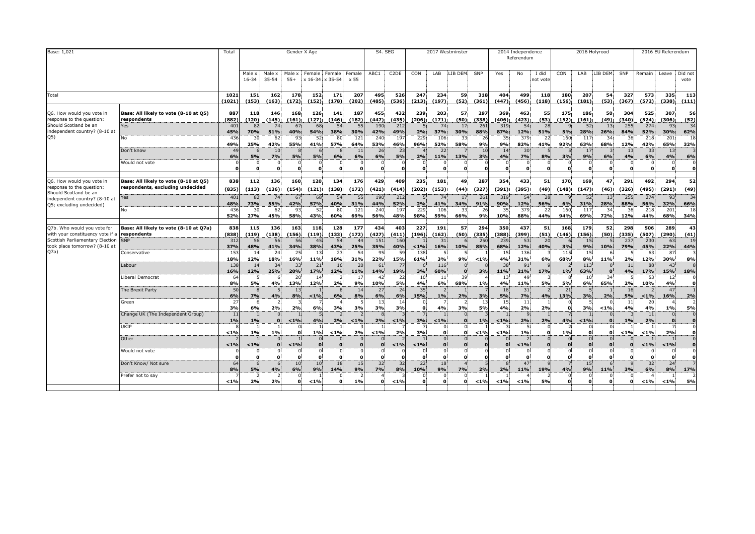| Base: 1,021                                                                                                                                 |                                                                           | Total                |                          |                       |                 | Gender X Age      |                          |              | S4. SEG      |                   |                          | 2017 Westminster |                          |              |                 | 2014 Independence<br>Referendum |                   |              |                         | 2016 Holyrood |              |              | 2016 EU Referendum           |                         |
|---------------------------------------------------------------------------------------------------------------------------------------------|---------------------------------------------------------------------------|----------------------|--------------------------|-----------------------|-----------------|-------------------|--------------------------|--------------|--------------|-------------------|--------------------------|------------------|--------------------------|--------------|-----------------|---------------------------------|-------------------|--------------|-------------------------|---------------|--------------|--------------|------------------------------|-------------------------|
|                                                                                                                                             |                                                                           |                      | Male:<br>$16 - 34$       | Male x<br>$35 - 54$   | Male ><br>$55+$ | Female<br>x 16-34 | Female Female<br>x 35-54 | x 55         | ABC1         | C <sub>2</sub> DE | CON                      | LAB              | LIB DEM                  | SNP          | Yes             | No                              | I did<br>not vote | CON          | LAB                     | LIB DEM       | SNP          | Remain       | Leave                        | Did not<br>vote         |
| Total                                                                                                                                       |                                                                           | 1021<br>(1021)       | 151<br>(153)             | 162<br>(163)          | 178<br>(172)    | 152<br>(152)      | 171<br>(178)             | 207<br>(202) | 495<br>(485) | 526<br>(536)      | 247<br>(213)             | 234<br>(197)     | 59<br>(52)               | 318<br>(361) | 404<br>(447)    | 499<br>(456)                    | 118<br>(118)      | 180<br>(156) | 207<br>(181)            | 54<br>(53)    | 327<br>(367) | 573<br>(572) | 335<br>(338)                 | 113<br>(111)            |
| Q6. How would you vote in<br>response to the question:                                                                                      | Base: All likely to vote (8-10 at Q5)<br>respondents                      | 887<br>(882)         | 118<br>(120)             | 146<br>(145)          | 168<br>(161)    | 126<br>(127)      | 141<br>(146)             | 187<br>(182) | 455<br>(447) | 432<br>(435)      | 239<br>(206)             | 203<br>(171)     | 57<br>(50)               | 297<br>(338) | 369<br>(406)    | 463<br>(423)                    | 55<br>(53)        | 175<br>(152) | 186<br>(161)            | 50<br>(49)    | 304<br>(340) | 525<br>(524) | 307<br>(306)                 | 56<br>(52)              |
| Should Scotland be an<br>independent country? (8-10 at                                                                                      | Yes                                                                       | 401<br>45%           | 82<br>70%                | 74<br>51%             | 67<br>40%       | 68<br>54%         | 54<br>38%                | 55<br>30%    | 190<br>42%   | 212<br>49%        | 2%                       | 74<br>37%        | 17<br>30%                | 261<br>88%   | 319<br>87%      | 54<br>12%                       | 28<br>51%         | 5%           | 52<br>28%               | 13<br>26%     | 255<br>84%   | 274<br>52%   | 93<br>30%                    | 34<br>62%               |
| Q5)                                                                                                                                         | No                                                                        | 436<br>49%           | 30<br>25%                | 62<br>42%             | 93<br>55%       | 52<br>41%         | 80<br><b>57%</b>         | 121<br>64%   | 240<br>53%   | 197<br>46%        | 229<br>96%               | 106<br>52%       | 33<br>58%                | 26<br>9%     | 35<br>9%        | 379<br>82%                      | 22<br>41%         | 160<br>92%   | 117<br>63%              | -34<br>68%    | 36<br>12%    | 218<br>42%   | 201<br>65%                   | 18<br>32%               |
|                                                                                                                                             | Don't know                                                                | 4 <sup>0</sup><br>6% | <b>5%</b>                | 10 <sup>1</sup><br>7% | <b>5%</b>       | 5%                | 6%                       | 11<br>6%     | 26<br>6%     | 23<br>5%          | 2%                       | 22<br>11%        | 13%                      | 10<br>3%     | 4%              | 30<br>7%                        | 8%                | 3%           | 17<br>9%                | 6%            | 13<br>4%     | 33<br>6%     | 13<br>4%                     | 6%                      |
|                                                                                                                                             | Would not vote                                                            | $\Omega$             | $\Omega$<br>$\mathbf{a}$ | 0.<br>$\mathbf{o}$    | 0               | $\bf{0}$          | 0.<br>$\mathbf{0}$       |              | $\mathbf{o}$ |                   | $\Omega$<br>$\mathbf{0}$ | $\mathbf{0}$     | $\Omega$<br>$\mathbf{o}$ | $\mathbf{0}$ | O               | $\Omega$<br>$\mathbf{a}$        |                   | $\mathbf{0}$ | 0<br>$\mathbf{0}$       | 0.            |              | $\Omega$     | $\mathbf 0$<br>$\mathbf{0}$  | $\mathbf{o}$            |
| Q6. How would you vote in<br>response to the question:<br>Should Scotland be an                                                             | Base: All likely to vote (8-10 at Q5)<br>respondents, excluding undecided | 838<br>(835)         | 112<br>(113)             | 136<br>(136)          | 160<br>(154)    | 120<br>(121)      | 134<br>(138)             | 176<br>(172) | 429<br>(421) | 409<br>(414)      | 235<br>(202)             | 181<br>(153)     | 49<br>(44)               | 287<br>(327) | 354<br>(391)    | 433<br>(395)                    | 51<br>(49)        | 170<br>(148) | 169<br>(147)            | 47<br>(46)    | 291<br>(326) | 492<br>(495) | 294<br>(291)                 | 52<br>(49)              |
| ndependent country? (8-10 at                                                                                                                | Yes                                                                       | 401<br>48%           | 82<br>73%                | 55%                   | 67<br>42%       | 68<br>57%         | 54<br>40%                | -55<br>31%   | 190<br>44%   | 212<br>52%        | 2%                       | 41%              | -17<br>34%               | 261<br>91%   | 319<br>90%      | 54<br>12%                       | 28<br>56%         | 6%           | 52<br>31%               | 13<br>28%     | 255<br>88%   | 274<br>56%   | 93<br>32%                    | 34<br>66%               |
| Q5; excluding undecided)                                                                                                                    | No                                                                        | 436<br>52%           | 30<br>27%                | 62<br>45%             | 93<br>58%       | 52<br>43%         | 80<br>60%                | 121<br>69%   | 240<br>56%   | 197<br>48%        | 229<br>98%               | 106<br>59%       | 33<br>66%                | 26<br>9%     | 35<br>10%       | 379<br>88%                      | -22<br>44%        | 160<br>94%   | 117<br>69%              | 34<br>72%     | 36<br>12%    | 218<br>44%   | 201<br>68%                   | 18<br>34%               |
| Q7b. Who would you vote for<br>with your constituency vote if a<br>Scottish Parliamentary Election<br>took place tomorrow? (8-10 at<br>Q7a) | Base: All likely to vote (8-10 at Q7a)<br>respondents                     | 838<br>(838)         | 115<br>(119)             | 136<br>(138)          | 163<br>(156)    | 118<br>(119)      | 128<br>(133)             | 177<br>(172) | 434<br>(427) | 403<br>(411)      | 227<br>(196)             | 191<br>(162)     | 57<br>(50)               | 294<br>(335) | 350<br>(388)    | 437<br>(399)                    | 51<br>(51)        | 168<br>(146) | 179<br>(156)            | 52<br>(50)    | 298<br>(335) | 506<br>(507) | 289<br>(290)                 | 43<br>(41)              |
|                                                                                                                                             | <b>SNP</b>                                                                | 312<br>37%           | 56<br>48%                | 56<br>41%             | 56<br>34%       | 45<br>38%         | 54<br>43%                | 44<br>25%    | 151<br>35%   | 160<br>40%        | < 1%                     | 31<br>16%        | 10%                      | 250<br>85%   | 239<br>68%      | 53<br>12%                       | 20<br>40%         | 3%           | 15<br>9%                | 10%           | 237<br>79%   | 230<br>45%   | 63<br>22%                    | 19<br>44%               |
|                                                                                                                                             | Conservative                                                              | -153<br>18%          | 14<br>12%                | 24<br>18%             | 25<br>16%       | 13<br>11%         | 23<br>18%                | -54<br>31%   | 95<br>22%    | <b>59</b><br>15%  | 138<br>61%               | 3%               | 9%                       | < 1%         | 15<br>4%        | 136<br>31%                      | 6%                | 115<br>68%   | 15<br>8%                | 11%           | 2%           | 63<br>12%    | 87<br>30%                    | 3<br>8%                 |
|                                                                                                                                             | Labour                                                                    | 138<br>16%           | 14<br>12%                | 34<br>25%             | 33<br>20%       | 21<br>17%         | 16<br>12%                | 20<br>11%    | 61<br>14%    | 77<br>19%         | 3%                       | 116<br>60%       | $\Omega$                 | 3%           | 38<br>11%       | 91<br>21%                       | 17%               | 1%           | 113<br>63%              | $\Omega$      | 11<br>4%     | 88<br>17%    | 43<br>15%                    | $\mathbf{8}$<br>18%     |
|                                                                                                                                             | Liberal Democrat                                                          | -64<br>8%            | 5%                       | 4%                    | 20<br>13%       | 14<br>12%         | 2%                       | -17<br>9%    | 42<br>10%    | 22<br>5%          | 10<br>4%                 | 11<br>6%         | 39<br>68%                | $1\%$        | 13<br>4%        | 49<br>11%                       | 5%                | 5%           | 10<br>6%                | 34<br>65%     | 2%           | 53<br>10%    | 12<br>4%                     | n                       |
|                                                                                                                                             | The Brexit Party                                                          | 50<br>6%             | 7%                       | 4%                    | 13<br>8%        | < 1%              | 6%                       | 14<br>8%     | 27<br>6%     | 24<br>6%          | 35<br>15%                | 1%               | 2%                       | 3%           | 18<br><b>5%</b> | 31<br>7%                        | 4%                | 21<br>13%    | 3%                      | 2%            | 16<br>5%     | $1\%$        | 47<br>16%                    | 2%                      |
|                                                                                                                                             | Green                                                                     | -27<br>3%            | 6%                       | 2%                    | 2%              | 6%                | 3%                       | 3%           | -13<br>3%    | 3%                | $\Omega$                 | 4%               | 3%                       | 13<br>5%     | 15<br>4%        | 11<br>2%                        | 2%                | O            | 3%                      | $1\%$         | -11<br>4%    | 20<br>4%     | 1%                           | 5%                      |
|                                                                                                                                             | Change UK (The Independent Group)                                         | 11<br>1%             | 1%                       | $\Omega$<br>$\Omega$  | $< 1\%$         | 4%                | 2%                       | $< 1\%$      | 2%           | $< 1\%$           | 3%                       | $< 1\%$          | $\Omega$                 | 1%           | $< 1\%$         | 2%                              | 2%                | 4%           | < 1%                    | $\Omega$      | 1%           | 11<br>2%     | $\mathbf{0}$<br>$\mathbf{0}$ | $\Omega$<br>$\bf{o}$    |
|                                                                                                                                             | UKIP                                                                      | < 1%                 | 1%                       | 1%                    |                 | 1%                | < 1%                     | 2%           | 1%           | 2%                | 3%                       |                  |                          | < 1%         | < 1%            | 1%                              |                   | 1%           | $\Omega$<br>$\Omega$    |               | < 1%         | < 1%         | 2%                           |                         |
|                                                                                                                                             | Other                                                                     | < 1%                 | < 1%                     | $\mathbf{0}$          | $< 1\%$         | $\mathbf{o}$      | $\mathbf{0}$             | $\Omega$     | $\Omega$     | < 1%              | < 1%                     |                  | $\mathbf{0}$             |              |                 | < 1%                            |                   | $\mathbf{o}$ | $\mathbf{0}$            |               |              | < 1%         | $< 1\%$                      | $\mathbf{o}$            |
|                                                                                                                                             | Would not vote                                                            |                      | $\Omega$                 | $^{\circ}$            |                 | $\Omega$          | $\Omega$                 |              |              |                   | $\Omega$                 |                  | $\Omega$                 |              |                 |                                 |                   | $\Omega$     | $\mathbf 0$<br>$\Omega$ |               |              |              | 0<br>$\mathbf{o}$            | $\Omega$<br>$\mathbf o$ |
|                                                                                                                                             | Don't Know/ Not sure                                                      | 64<br>8%             | 6<br><b>5%</b>           | 4%                    | 10<br>6%        | 10<br>9%          | 18<br>14%                | 15<br>9%     | 32<br>7%     | 32<br>8%          | 22<br>10%                | 18<br>9%         | <b>7%</b>                | 2%           | 2%              | 47<br>11%                       | 19%               | 4%           | 15<br>9%                | 11%           | 3%           | 32<br>6%     | 24<br>8%                     | 17%                     |
|                                                                                                                                             | Prefer not to say                                                         | $< 1\%$              | 2%                       | 2%                    | 0               | < 1%              | $\mathbf{0}$             | 1%           | $\Omega$     | $< 1\%$           | $\Omega$                 | $\mathbf{0}$     | $\Omega$                 | < 1%         | < 1%            | < 1%                            | 5%                | $\mathbf{o}$ | 0<br>$\mathbf{0}$       | 0             |              | $< 1\%$      | < 1%                         | <b>5%</b>               |
|                                                                                                                                             |                                                                           |                      |                          |                       |                 |                   |                          |              |              |                   |                          |                  |                          |              |                 |                                 |                   |              |                         |               |              |              |                              |                         |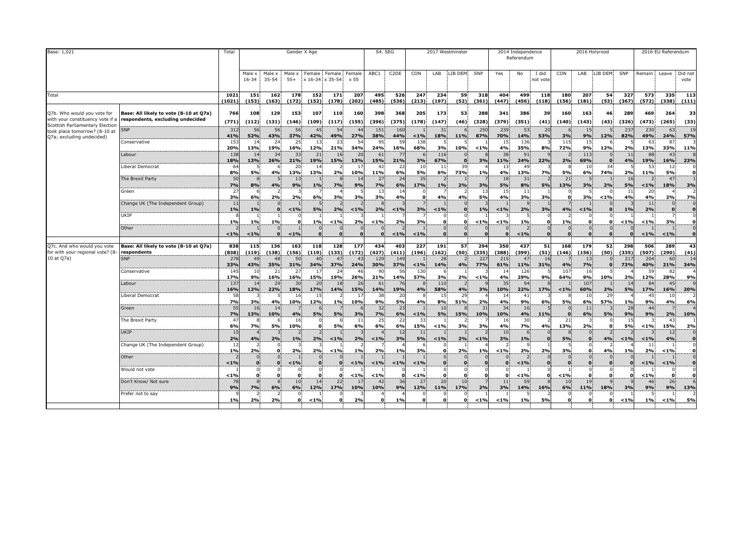| Base: 1,021                                                      |                                        | Total          |                 |                 |                 | Gender X Age         |                           |                         |                  | S4. SEG           |              |                                | 2017 Westminster |              |                  | 2014 Independence<br>Referendum |                   |                 | 2016 Holyrood            |            |              |              | 2016 EU Referendum |                                |
|------------------------------------------------------------------|----------------------------------------|----------------|-----------------|-----------------|-----------------|----------------------|---------------------------|-------------------------|------------------|-------------------|--------------|--------------------------------|------------------|--------------|------------------|---------------------------------|-------------------|-----------------|--------------------------|------------|--------------|--------------|--------------------|--------------------------------|
|                                                                  |                                        |                | Male x<br>16-34 | Male x<br>35-54 | Male x<br>$55+$ | Female               | Female<br>x 16-34 x 35-54 | Female<br>x 55          | ABC1             | C <sub>2</sub> DE | CON          | LAB                            | LIB DEM          | SNP          | Yes              | No                              | I did<br>not vote | CON             | LAB                      | LIB DEM    | SNP          | Remain       |                    | Leave Did not<br>vote          |
| Total                                                            |                                        | 1021<br>(1021) | 151<br>(153)    | 162<br>(163)    | 178<br>(172)    | 152<br>(152)         | 171<br>(178)              | 207<br>(202)            | 495<br>(485)     | 526<br>(536)      | 247<br>(213) | 234<br>(197)                   | 59<br>(52)       | 318<br>(361) | 404<br>(447)     | 499<br>(456)                    | 118<br>(118)      | 180<br>(156)    | 207<br>(181)             | 54<br>(53) | 327<br>(367) | 573<br>(572) | 335<br>(338)       | 113<br>(111)                   |
| Q7b. Who would you vote for                                      | Base: All likely to vote (8-10 at Q7a) | 766            | 108             | 129             | 153             | 107                  | 110                       | 160                     | 398              | 368               | 205          | 173                            | 53               | 288          | 341              | 386                             | 39                | 160             | 163                      | 46         | 289          | 469          | 264                | 33                             |
| with your constituency vote if a                                 | respondents, excluding undecided       | (771)          | (112)           | (131)           | (146)           | (109)                | (117)                     | (155)                   | (396)            | (375)             | (178)        | (147)                          | (46)             | (328)        | (379)            | (351)                           | (41)              | (140)           | (143)                    | (43)       | (326)        | (473)        | (265)              | (33)                           |
| Scottish Parliamentary Election<br>took place tomorrow? (8-10 at | <b>SNP</b>                             | 312            | 56              | 56              | 56              | 45                   | 54                        | 44                      | 151              | 160               |              | 31                             |                  | 250          | 239              | 53                              | 20                |                 | 15                       |            | 237          | 230          | 63                 | 19                             |
| Q7a; excluding undecided)                                        |                                        | 41%            | 52%             | 43%             | 37%             | 42%                  | 49%                       | 27%                     | 38%              | 44%               | < 1%         | 18%                            | 11%              | 87%          | 70%              | 14%                             | 53%               | 3%              | 9%                       | 12%        | 82%          | 49%          | 24%                | 57%                            |
|                                                                  | Conservative                           | 153<br>20%     | 14<br>13%       | 24<br>19%       | 25<br>16%       | 13<br>12%            | 23<br>21%                 | 54<br>34%               | 95<br>24%        | 59<br>16%         | 138<br>68%   | 3%                             | 10%              | < 1%         | 15<br>4%         | 136<br>35%                      | 8%                | 115<br>72%      | 15<br>9%                 | 12%        | 2%           | 63<br>13%    | 87<br>33%          | 11%                            |
|                                                                  | Labour                                 | 138            | 14              | 34              | 33              | 21                   | 16                        | 20                      | 61               | -77               | 6            | 116                            |                  |              | 38               | 91                              |                   |                 | 113                      |            | 11           | 88           | 43                 |                                |
|                                                                  | Liberal Democrat                       | 18%<br>64      | 13%<br>.5       | 26%             | 21%<br>20       | 19%<br>14            | 15%                       | 13%<br>17               | 15%<br>42        | 21%<br>22         | 3%<br>10     | 67%<br>11                      | $\Omega$<br>39   | 3%           | <b>11%</b><br>13 | 24%<br>49                       | 22%               | 2%              | 69%<br>10                | 34         | 4%           | 19%<br>53    | 16%<br>12          | 23%                            |
|                                                                  |                                        | 8%             | 5%              | 4%              | 13%             | 13%                  | 2%                        | 10%                     | 11%              | 6%                | 5%           | 6%                             | 73%              | 1%           | 4%               | 13%                             | 7%                | 5%              | 6%                       | 74%        | 2%           | 11%          | 5%                 | o                              |
|                                                                  | The Brexit Party                       | 50<br>7%       | $\mathbf{R}$    |                 | 13<br>9%        | 1%                   | 8                         | 14<br>9%                | 27               | 24                | 35<br>17%    |                                |                  |              | 18               | 31<br>8%                        |                   | 21              | -5                       |            | 16<br>5%     |              | 47                 |                                |
|                                                                  | Green                                  | 27             | 8%              | 4%              |                 |                      | 7%                        |                         | 7%<br>13         | 6%<br>14          |              | $1\%$                          | 2%               | 3%<br>13     | 5%<br>15         | 11                              | 5%                | 13%             | 3%                       | 2%         | 11           | $1\%$<br>20  | 18%                | 3%<br>$\overline{z}$           |
|                                                                  |                                        | 3%             | 6%              | 2%              | 2%              | 6%                   | 3%                        | 3%                      | 3%               | 4%                | $\mathbf{0}$ | 4%                             | 4%               | 5%           | 4%               | 3%                              | 3%                | $\Omega$        | 3%                       | < 1%       | 4%           | 4%           | 2%                 | 7%                             |
|                                                                  | Change UK (The Independent Group)      | 11<br>1%       | 1%              |                 | < 1%            | 5%                   | 2%                        | $< 1\%$                 | 2%               | $< 1\%$           | 3%           | $< 1\%$                        | $\mathbf{0}$     | 1%           | < 1%             | 2%                              | 3%                | 4%              | $< 1\%$                  |            | 1%           | 11<br>2%     | $\bf{0}$           | $\mathbf{0}$<br>$\mathbf{o}$   |
|                                                                  | UKIP                                   |                |                 | 1%              | O               |                      |                           |                         |                  |                   |              | $\mathbf{0}$<br>$\mathbf{o}$   | 0.               |              |                  |                                 |                   |                 | 0<br>$\mathbf{0}$        |            |              |              | $\overline{7}$     | $\mathbf 0$<br>ol              |
|                                                                  | Other                                  | 1%             | 1%              |                 |                 | 1%<br>$\mathbf{0}$   | < 1%<br>$\Omega$          | 2%                      | < 1%<br>$\Omega$ | 2%                | 3%           | 0.                             |                  | $< 1\%$      | < 1%<br>$\Omega$ | 1%<br>$\overline{2}$            |                   | $1\%$           | $\mathbf{0}$             |            | < 1%         | < 1%         | 3%                 | $\mathbf{0}$                   |
|                                                                  |                                        | < 1%           | $< 1\%$         |                 | $< 1\%$         | $\mathbf{0}$         | $\Omega$                  |                         | $\Omega$         | < 1%              | < 1%         | $\mathbf{0}$                   | $\Omega$         | $\Omega$     | $\Omega$         | $< 1\%$                         |                   | $\Omega$        | $\Omega$                 |            |              | $< 1\%$      | < 1%               | $\mathbf{0}$                   |
| Q7c. And who would you vote                                      | Base: All likely to vote (8-10 at Q7a) | 838            | 115             | 136             | 163             | 118                  | 128                       | 177                     | 434              | 403               | 227          | 191                            | 57               | 294          | 350              | 437                             | 51                | 168             | 179                      | 52         | 298          | 506          | 289                | 43                             |
| for with your regional vote? (8<br>10 at Q7a)                    | respondents<br><b>SNP</b>              | (838)<br>278   | (119)<br>49     | (138)<br>48     | (156)<br>50     | (119)<br>40          | (133)                     | (172)<br>$\overline{4}$ | (427)<br>129     | (411)<br>149      | (196)        | (162)<br>28                    | (50)             | (335)<br>227 | (388)<br>215     | (399)<br>47                     | (51)<br>16        | (146)           | (156)<br>13              | (50)       | (335)<br>217 | (507)<br>204 | (290)<br>60        | (41)<br>14                     |
|                                                                  |                                        | 33%            | 43%             | 35%             | 31%             | 34%                  | 37%                       | 24%                     | 30%              | 37%               | < 1%         | 14%                            | 4%               | 77%          | 61%              | 11%                             | 31%               | 4%              | 7%                       |            | 73%          | 40%          | 21%                | 34%                            |
|                                                                  | Conservative                           | 145<br>17%     | 10<br>9%        | 21<br>16%       | 27<br>16%       | 17<br>15%            | 24<br>19%                 | 46<br>26%               | 90<br>21%        | 56<br>14%         | 130<br>57%   | 6<br>3%                        | 2%               | $< 1\%$      | 14<br>4%         | 126<br>29%                      | 9%                | 107<br>64%      | 16<br>9%                 | 10%        | 2%           | 59<br>12%    | 82<br>28%          | 9%                             |
|                                                                  | Labour                                 | 137<br>16%     | 14              | 29              | 30              | 20                   | 18                        | 26                      | 61               | 19%               | 8            | 110                            |                  |              | 35               | 94                              | 17%               |                 | 107                      |            | 14           | 84           | 45                 | $\mathbf{q}$                   |
|                                                                  | Liberal Democrat                       | 58             | 12%             | 22%             | 18%<br>16       | 17%<br>15            | 14%                       | 15%<br>17               | 14%<br>38        | 20                | 4%           | 58%<br>15                      | 4%<br>29         | 3%           | 10%<br>14        | 22%<br>41                       |                   | $< 1\%$         | 60%<br>10                | 2%<br>29   | <b>5%</b>    | 17%<br>45    | 16%<br>10          | 20%<br>$\overline{z}$          |
|                                                                  | Green                                  | 7%<br>55       | 3%<br>16        | 4%<br>14        | 10%             | 12%                  | 1%                        | 10%                     | 9%<br>32         | 5%<br>23          | 4%           | 8%<br>10                       | 51%              | 2%<br>31     | 4%<br>34         | 9%<br>16                        | 6%                | 5%              | 6%<br>11                 | 57%        | 1%<br>28     | 9%<br>44     | 4%                 | 6%                             |
|                                                                  |                                        | 7%             | 13%             | 10%             | 4%              | 5%                   | 5%                        | 3%                      | 7%               | 6%                | < 1%         | 5%                             | 15%              | 10%          | 10%              | 4%                              | 11%               | $\Omega$        | 6%                       | 5%         | 9%           | 9%           | 2%                 | 10%                            |
|                                                                  | The Brexit Party                       | 6%             | <b>7%</b>       | 5%              | 16<br>10%       | $\Omega$             | 6<br>5%                   | 11<br>6%                | 25<br>6%         | 6%                | 33<br>15%    | < 1%                           | 3%               | 3%           | 16<br>4%         | 30<br>7%                        | 4%                | 21<br>13%       | 2%                       |            | 15<br>5%     | 1%           | 43<br>15%          | 2%                             |
|                                                                  | UKIP                                   | 15             |                 |                 |                 |                      |                           |                         |                  |                   | 11           |                                |                  |              | 10               | 6                               |                   |                 |                          |            |              |              | 12                 | $\mathbf 0$                    |
|                                                                  | Change UK (The Independent Group)      | 2%<br>12       | 4%              | 2%              | 1%              | 2%                   | $< 1\%$                   | 2%                      | $1\%$            | 3%                | 5%           | < 1%                           | 2%               | < 1%         | 3%               | 1%                              |                   | 5%              | $\Omega$                 | 4%         | < 1%         | < 1%<br>11   | 4%                 | $\mathbf 0$<br>$\Omega$        |
|                                                                  |                                        | 1%             | 2%              |                 | 2%              | 2%                   | < 1%                      | 1%                      | 2%               | 1%                | 3%           | $\bf{o}$                       | 2%               | 1%           | < 1%             | 2%                              | 2%                | 3%              | $\bf{0}$                 | 4%         | 1%           | 2%           | < 1%               | $\mathbf{o}$                   |
|                                                                  | Other                                  | < 1%           | $\bf{0}$        | $\mathbf{0}$    | $< 1\%$         | $\bf{0}$             | $\Omega$                  | < 1%                    | < 1%             | $< 1\%$           | < 1%         | 0 <sup>1</sup><br>$\mathbf{0}$ | $\Omega$         |              | $\Omega$         | $< 1\%$                         |                   | $\Omega$        | $\Omega$<br>$\mathbf{0}$ |            |              | < 1%         | $< 1\%$            | $\overline{0}$<br>$\mathbf{0}$ |
|                                                                  | Would not vote                         | < 1%           | O               | 0<br>$\Omega$   |                 | $\Omega$<br>$\Omega$ | ŋ                         | < 1%                    | $< 1\%$          |                   | < 1%         | 0.<br>$\Omega$                 | O                |              |                  | $< 1\%$                         |                   | < 1%            | $\mathbf{0}$<br>$\Omega$ |            |              | < 1%         | $\Omega$           | ٥l                             |
|                                                                  | Don't Know/ Not sure                   | 78<br>9%       | 7%              |                 | 10<br>6%        | 14<br><b>12%</b>     | 22<br>17%                 | $\overline{1}$<br>10%   | 42<br>10%        | 36<br>9%          | 27<br>12%    | 20<br><b>11%</b>               | 10<br>17%        | 2%           | 11<br>3%         | 59<br>14%                       |                   | 10              | 19<br>11%                |            | 3%           | 46<br>9%     | 26<br>9%           | 6<br>13%                       |
|                                                                  | Prefer not to say                      | 1%             | 2%              | 6%<br>2%        |                 | $< 1\%$              | O                         | 2%                      | $\Omega$         | 1%                | $\mathbf{0}$ | $\mathbf{0}$                   | $\Omega$         | $< 1\%$      | < 1%             | 1%                              | 16%<br>5%         | 6%<br>$\bullet$ | $\Omega$<br>$\mathbf{0}$ | 18%        | < 1%         | 1%           | < 1%               | 5%                             |
|                                                                  |                                        |                |                 |                 |                 |                      |                           |                         |                  |                   |              |                                |                  |              |                  |                                 |                   |                 |                          |            |              |              |                    |                                |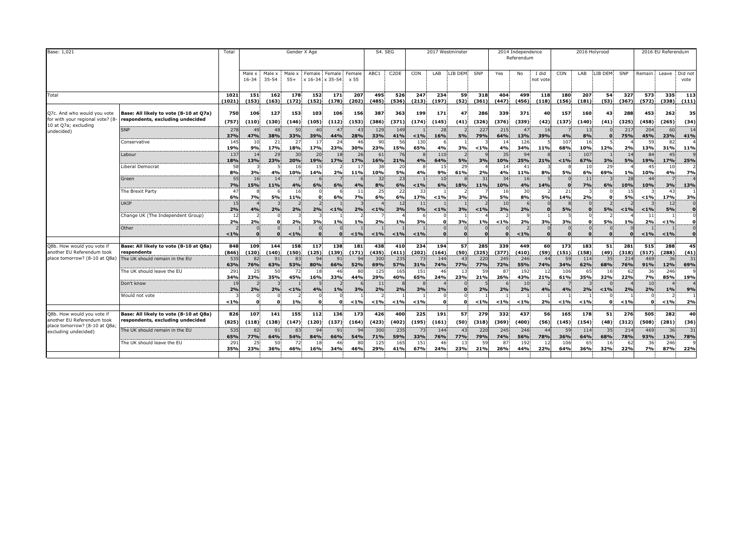| Base: 1,021                                                                                                       |                                                                            | Total                |                            |                 | Gender X Age    |                |                                  |                | S4. SEG         |                   |               |                | 2017 Westminster |              |                | 2014 Independence<br>Referendum |                   |                | 2016 Holyrood     |            |              |                 | 2016 EU Referendum            |                 |
|-------------------------------------------------------------------------------------------------------------------|----------------------------------------------------------------------------|----------------------|----------------------------|-----------------|-----------------|----------------|----------------------------------|----------------|-----------------|-------------------|---------------|----------------|------------------|--------------|----------------|---------------------------------|-------------------|----------------|-------------------|------------|--------------|-----------------|-------------------------------|-----------------|
|                                                                                                                   |                                                                            |                      | Male x<br>16-34            | Male x<br>35-54 | Male x<br>$55+$ |                | Female Female<br>x 16-34 x 35-54 | Female<br>x 55 | ABC1            | C <sub>2</sub> DE | CON           | LAB            | LIB DEM          | SNP          | Yes            | No                              | I did<br>not vote | CON            | LAB               | LIB DEM    | SNP          | Remain          | Leave                         | Did not<br>vote |
| Total                                                                                                             |                                                                            | 1021<br>(1021)       | 151<br>(153)               | 162<br>(163)    | 178<br>(172)    | 152<br>(152)   | 171<br>(178)                     | 207<br>(202)   | 495<br>(485)    | 526<br>(536)      | 247<br>(213)  | 234<br>(197)   | 59<br>(52)       | 318<br>(361) | 404<br>(447)   | 499<br>(456)                    | 118<br>(118)      | 180<br>(156)   | 207<br>(181)      | 54<br>(53) | 327<br>(367) | 573<br>(572)    | 335<br>(338)                  | 113<br>(111)    |
| Q7c. And who would you vote<br>for with your regional vote? (8                                                    | Base: All likely to vote (8-10 at Q7a)<br>respondents, excluding undecided | 750<br>(757)         | 106<br>(110)               | 127<br>(130)    | 153<br>(146)    | 103<br>(105)   | 106<br>(112)                     | 156<br>(153)   | 387<br>(386)    | 363<br>(371)      | 199<br>(174)  | 171<br>(145)   | 47<br>(41)       | 286<br>(326) | 339<br>(376)   | 371<br>(339)                    | 40<br>(42)        | 157<br>(137)   | 160<br>(140)      | 43<br>(41) | 288<br>(325) | 453<br>(458)    | 262<br>(265)                  | 35<br>(34)      |
| 10 at Q7a; excluding<br>undecided)                                                                                | <b>SNP</b>                                                                 | 278<br>37%           | 49<br>47%                  | 48<br>38%       | 50<br>33%       | 40<br>39%      | -47<br>44%                       | 43<br>28%      | 129<br>33%      | 149<br>41%        | $< 1\%$       | 28<br>16%      | 5%               | 227<br>79%   | 215<br>64%     | 47<br>13%                       | 16<br>39%         | 4%             | 13<br>8%          |            | 217<br>75%   | 204<br>45%      | 60<br>23%                     | 14<br>41%       |
|                                                                                                                   | Conservative                                                               | 145<br>19%           | 10<br>9%                   | 21<br>17%       | -27<br>18%      | 17<br>17%      | -24<br>23%                       | 46<br>30%      | -90<br>23%      | -56<br>15%        | 130<br>65%    | 4%             | 3%               | < 1%         | -14<br>4%      | 126<br>34%                      | 11%               | 107<br>68%     | 16<br>10%         | 12%        | 2%           | 59<br>13%       | 31%                           | 11%             |
|                                                                                                                   | Labour                                                                     | 13<br>18%            | 14<br>13%                  | 29<br>23%       | 30<br>20%       | 20<br>19%      | 18<br>17%                        | 26<br>17%      | 61<br>16%       | 21%               | 4%            | 110<br>64%     | 5%               | 3%           | 35<br>10%      | 94<br>25%                       | 21%               | $< 1\%$        | 107<br>67%        | 3%         | 14<br>5%     | 84<br>19%       | 17%                           | 25%             |
|                                                                                                                   | Liberal Democrat<br>Green                                                  | 58<br>8%<br>55       | 3%<br>16                   | 4%<br>14        | 16<br>10%       | 15<br>14%      | 2%                               | 17<br>11%      | 38<br>10%<br>32 | 20<br>5%<br>23    | 4%            | 15<br>9%<br>10 | 29<br>61%        | 2%<br>31     | 14<br>4%<br>34 | 41<br>11%<br>16                 | 8%                | <b>5%</b>      | 10<br>6%<br>11    | 29<br>69%  | 1%<br>28     | 45<br>10%<br>44 | 10<br>4%                      | 7%              |
|                                                                                                                   | The Brexit Party                                                           | 7%<br>$\overline{4}$ | 15%<br>8                   | 11%             | 4%<br>16        | 6%             | 6%                               | 4%<br>11       | 8%<br>25        | 6%<br>22          | $< 1\%$<br>33 | 6%             | 18%              | 11%          | 10%<br>16      | 4%<br>30                        | 14%               | 21             | 7%                | 6%         | 10%<br>15    | 10%             | 3%<br>43                      | 13%             |
|                                                                                                                   | <b>UKIP</b>                                                                | 6%<br>15             | 7%                         | 5%              | 11%             |                | 6%                               | 7%             | 6%              | 6%<br>-12         | 17%<br>11     | < 1%           | 3%               | 3%           | 5%<br>10       | 8%                              | 5%                | 14%            | 2%                |            | 5%           | $< 1\%$         | 17%<br>12 <sup>1</sup>        | 3%              |
|                                                                                                                   | Change UK (The Independent Group)                                          | 2%                   | 4%                         | 2%              | 2%              | 2%             | $< 1\%$                          | 2%             | $< 1\%$         | 3%                | 5%            | $< 1\%$        | 3%               | $< 1\%$      | 3%             | 2%                              |                   | 5%             |                   | 5%         | $< 1\%$      | $< 1\%$<br>11   | 5%                            |                 |
|                                                                                                                   | Other                                                                      | 2%<br>< 1%           | 2%<br>$\Omega$<br>$\Omega$ | $\Omega$        | 2%<br>< 1%      | 3%<br>$\Omega$ | 1%<br>$\Omega$                   | 1%<br>$< 1\%$  | 2%<br>< 1%      | 1%<br>$< 1\%$     | 3%<br>$< 1\%$ |                | 3%               | 1%           | < 1%<br>n.     | 2%<br>$< 1\%$                   | 3%                | 3%<br>$\Omega$ | $\Omega$<br>n     | 5%         | 1%           | 2%<br>$< 1\%$   | < 1%<br>$< 1\%$               |                 |
| Q8b. How would you vote if                                                                                        | Base: All likely to vote (8-10 at Q8a)                                     | 848                  | 109                        | 144             | 158             | 117            | 138                              | 181            | 438             | 410               | 234           | 194            | 57               | 285          | 339            | 449                             | 60                | 173            | 183               | 51         | 281          | 515             | 288                           | 45              |
| another EU Referendum took<br>place tomorrow? (8-10 at Q8a)                                                       | respondents<br>The UK should remain in the EU                              | (846)<br>535         | (120)<br>82                | (140)<br>91     | (150)<br>83     | (125)<br>94    | (139)<br>91                      | (171)<br>94    | (435)<br>300    | (411)<br>235      | (202)<br>73   | (164)<br>144   | (50)<br>43       | (325)<br>220 | (377)<br>245   | (410)<br>246                    | (59)<br>44        | (151)<br>59    | (158)<br>114      | (49)<br>35 | (318)<br>214 | (517)<br>469    | (288)<br>36                   | (41)<br>31      |
|                                                                                                                   | The UK should leave the EU                                                 | 63%<br>291           | 76%<br>25                  | 63%<br>50       | 53%<br>72       | 80%<br>18      | 66%<br>46                        | 52%<br>80      | 69%<br>125      | 57%<br>165        | 31%<br>151    | 74%<br>46      | 77%<br>-13       | 77%<br>59    | 72%<br>-87     | 55%<br>192                      | 74%<br>12         | 34%<br>106     | 62%<br>65         | 68%<br>16  | 76%<br>62    | 91%<br>36       | 12%<br>246                    | 69%             |
|                                                                                                                   | Don't know                                                                 | 34%<br>2%            | 23%                        | 35%<br>2%       | 45%             | 16%            | 33%<br>1%                        | 44%            | 29%<br>11<br>2% | 40%               | 65%           | 24%            | 23%              | 21%          | 26%            | 43%<br>10<br>2%                 | 21%<br>4%         | 61%            | 35%<br>2%         | 32%        | 22%          | 7%<br>10<br>2%  | 85%                           | 19%<br>9%       |
|                                                                                                                   | Would not vote                                                             | 19                   | 2%                         |                 | $< 1\%$<br>1%   | 4%<br>$\Omega$ | O.                               | 3%<br>< 1%     | $< 1\%$         | 2%<br>< 1%        | 3%<br>< 1%    | 2%             |                  | 2%<br>< 1%   | 2%<br>< 1%     | $< 1\%$                         | 2%                | 4%<br>$< 1\%$  | < 1%              | $< 1\%$    | 2%<br>< 1%   | $\Omega$        | 1%<br>< 1%                    | 2%              |
|                                                                                                                   | Base: All likely to vote (8-10 at Q8a)                                     | 826                  | 107                        | 141             | 155             | 112            | 136                              | 173            | 426             | 400               | 225           | 191            | 57               | 279          | 332            | 437                             | 56                | 165            | 178               | 51         | 276          | 505             | 282                           | 40              |
| Q8b. How would you vote if<br>another EU Referendum took<br>place tomorrow? (8-10 at Q8a;<br>excluding undecided) | respondents, excluding undecided                                           | (825)                | (118)                      | (138)           | (147)           | (120)          | (137)                            | (164)          | (423)           | (402)             | (195)         | (161)          | (50)             | (318)        | (369)          | (400)                           | (56)              | (145)          | (154)             | (48)       | (312)        | (508)           | (281)                         | (36)            |
|                                                                                                                   | The UK should remain in the EU                                             | 535<br>65%           | 82<br>77%                  | 91<br>64%       | 83<br>54%       | 94<br>84%      | 91<br>66%                        | 94<br>54%      | 300<br>71%      | 235<br>59%        | 73<br>33%     | 144<br>76%     | 43<br>77%        | 220<br>79%   | 245<br>74%     | 246<br>56%                      | 44<br>78%         | 59<br>36%      | 114<br><b>64%</b> | 35<br>68%  | 214<br>78%   | 469<br>93%      | 36 <sup>1</sup><br><b>13%</b> | 31<br>78%       |
|                                                                                                                   | The UK should leave the EU                                                 | 29<br>35%            | 23%                        | 50<br>36%       | 46%             | 18<br>16%      | 34%                              | 80<br>46%      | 125<br>29%      | 16<br>41%         | 151<br>67%    | 46<br>24%      | -13<br>23%       | 59<br>21%    | -8<br>26%      | 192<br>44%                      | -12<br>22%        | 106<br>64%     | 65<br>36%         | 16<br>32%  | 6.<br>22%    | 36<br><b>7%</b> | 246<br>87%                    | 22%             |
|                                                                                                                   |                                                                            |                      |                            |                 |                 |                |                                  |                |                 |                   |               |                |                  |              |                |                                 |                   |                |                   |            |              |                 |                               |                 |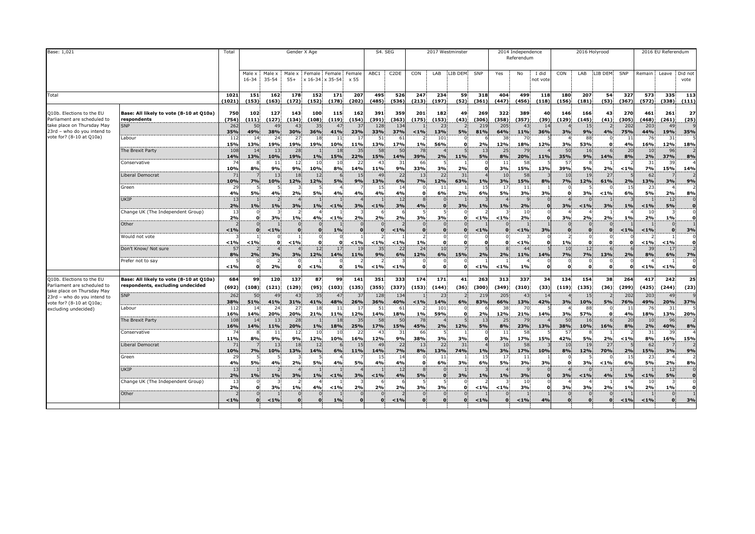| Base: 1,021                                                                                                                                       |                                                                                                                                                                                                                                                                      | Total                                                                                                                          |                                                                                                                                                                 |                                                                                                                    | Gender X Age                                                                                                             |                                                                                                                                               |                                                                                                                                                     |                                                                                                                      |                                                                                                                                              | S4. SEG                                                                                                                             |                                                                                                                                                                                     |                                                                                                                                                          | 2017 Westminster                                                                                                       |                                                                                                                      |                                                                                                                                     | 2014 Independence<br>Referendum                                                                                                                    |                                                                              |                                                                                                                                             | 2016 Holyrood                                                                                                                                                            |                                                                       |                                                                                                     |                                                                                                                                        | 2016 EU Referendum                                                                                                                             |                                                                                                                                                                                             |
|---------------------------------------------------------------------------------------------------------------------------------------------------|----------------------------------------------------------------------------------------------------------------------------------------------------------------------------------------------------------------------------------------------------------------------|--------------------------------------------------------------------------------------------------------------------------------|-----------------------------------------------------------------------------------------------------------------------------------------------------------------|--------------------------------------------------------------------------------------------------------------------|--------------------------------------------------------------------------------------------------------------------------|-----------------------------------------------------------------------------------------------------------------------------------------------|-----------------------------------------------------------------------------------------------------------------------------------------------------|----------------------------------------------------------------------------------------------------------------------|----------------------------------------------------------------------------------------------------------------------------------------------|-------------------------------------------------------------------------------------------------------------------------------------|-------------------------------------------------------------------------------------------------------------------------------------------------------------------------------------|----------------------------------------------------------------------------------------------------------------------------------------------------------|------------------------------------------------------------------------------------------------------------------------|----------------------------------------------------------------------------------------------------------------------|-------------------------------------------------------------------------------------------------------------------------------------|----------------------------------------------------------------------------------------------------------------------------------------------------|------------------------------------------------------------------------------|---------------------------------------------------------------------------------------------------------------------------------------------|--------------------------------------------------------------------------------------------------------------------------------------------------------------------------|-----------------------------------------------------------------------|-----------------------------------------------------------------------------------------------------|----------------------------------------------------------------------------------------------------------------------------------------|------------------------------------------------------------------------------------------------------------------------------------------------|---------------------------------------------------------------------------------------------------------------------------------------------------------------------------------------------|
|                                                                                                                                                   |                                                                                                                                                                                                                                                                      |                                                                                                                                | Male ><br>16-34                                                                                                                                                 | Male x<br>35-54                                                                                                    | Male ><br>$55+$                                                                                                          |                                                                                                                                               | Female Female<br>$x 16-34$ $x 35-54$                                                                                                                | Female<br>x 55                                                                                                       | ABC1                                                                                                                                         | C <sub>2</sub> DE                                                                                                                   | CON                                                                                                                                                                                 | LAB                                                                                                                                                      | LIB DEM                                                                                                                | SNP                                                                                                                  | Yes                                                                                                                                 | No                                                                                                                                                 | I did<br>not vote                                                            | CON                                                                                                                                         | LAB                                                                                                                                                                      | LIB DEM                                                               | SNP                                                                                                 | Remain                                                                                                                                 |                                                                                                                                                | Leave Did not<br>vote                                                                                                                                                                       |
| Total                                                                                                                                             |                                                                                                                                                                                                                                                                      | 1021<br>(1021)                                                                                                                 | 151<br>(153)                                                                                                                                                    | 162<br>(163)                                                                                                       | 178<br>(172)                                                                                                             | 152<br>(152)                                                                                                                                  | 171<br>(178)                                                                                                                                        | 207<br>(202)                                                                                                         | 495<br>(485)                                                                                                                                 | 526<br>(536)                                                                                                                        | 247<br>(213)                                                                                                                                                                        | 234<br>(197)                                                                                                                                             | 59<br>(52)                                                                                                             | 318<br>(361)                                                                                                         | 404<br>(447)                                                                                                                        | 499<br>(456)                                                                                                                                       | 118<br>(118)                                                                 | 180<br>(156)                                                                                                                                | 207<br>(181)                                                                                                                                                             | 54<br>(53)                                                            | 327<br>(367)                                                                                        | 573<br>(572)                                                                                                                           | 335<br>(338)                                                                                                                                   | 113<br>(111)                                                                                                                                                                                |
| Q10b. Elections to the EU<br>Parliament are scheduled to<br>take place on Thursday May<br>23rd - who do you intend to<br>vote for? (8-10 at Q10a) | Base: All likely to vote (8-10 at Q10a)<br>respondents<br><b>SNP</b><br>Labour<br>The Brexit Party<br>Conservative<br>Liberal Democrat<br>Green<br>UKIP<br>Change UK (The Independent Group)<br>Other<br>Would not vote<br>Don't Know/ Not sure<br>Prefer not to say | 750<br>(754)<br>262<br>35%<br>-11<br>15%<br>108<br>14%<br>10%<br>10%<br>29<br>4%<br>13<br>2%<br>2%<br>< 1%<br>< 1%<br>57<br>8% | 102<br>(111)<br>50<br>49%<br>14<br>13%<br>14<br>13%<br>8<br>8%<br>7%<br>5<br>5%<br>1%<br>О.<br>$\Omega$<br>$\bf{0}$<br>< 1%<br>$\overline{z}$<br>2%<br>$\Omega$ | 127<br>(127)<br>49<br>38%<br>24<br>19%<br>13<br>10%<br>11<br>9%<br>13<br>10%<br>4%<br>1%<br>3%<br>< 1%<br>0.<br>3% | 143<br>(134)<br>43<br>30%<br>27<br>19%<br>28<br>19%<br>12<br>9%<br>18<br>12%<br>2%<br>3%<br>1%<br>$\Omega$<br>< 1%<br>3% | 100<br>(108)<br>35<br>36%<br>18<br>19%<br>1%<br>10<br>10%<br>12<br>12%<br>5%<br>1%<br>4%<br>$\Omega$<br>$\Omega$<br>$\mathbf{o}$<br>12<br>12% | 115<br>(119)<br>47<br>41%<br>- 11<br>10%<br>18<br>15%<br>10<br>8%<br>6<br>5%<br>4%<br>< 1%<br>< 1%<br>1%<br>$\Omega$<br>0.<br>17<br>14%<br>$\Omega$ | 162<br>(154)<br>37<br>23%<br>-17<br>11%<br>35<br>22%<br>22<br>14%<br>15<br>9%<br>4%<br>3%<br>2%<br>< 1%<br>19<br>11% | 391<br>(391)<br>128<br>33%<br>-51<br>13%<br>58<br>15%<br>43<br>11%<br>49<br>13%<br>15<br>4%<br>< 1%<br>2%<br>$\Omega$<br>$< 1\%$<br>35<br>9% | 359<br>(363)<br>134<br>37%<br>61<br>17%<br>50<br>14%<br>31<br>9%<br>22<br>6%<br>4%<br>12<br>3%<br>2%<br>< 1%<br>$< 1\%$<br>22<br>6% | 201<br>(175)<br>< 1%<br>1%<br>78<br>39%<br>66<br>33%<br>13<br>7%<br>0.<br>$\mathbf{8}$<br>4%<br>3%<br>$\mathbf{0}$<br>$\mathbf{0}$<br>$\overline{2}$<br>1%<br>24<br>12%<br>$\Omega$ | 182<br>(153)<br>-23<br>13%<br>101<br>56%<br>2%<br>3%<br>22<br>12%<br>11<br>6%<br>3%<br>$\Omega$<br>$\mathbf{0}$<br>$\mathbf{o}$<br>10 <sup>1</sup><br>6% | 49<br>(43)<br>5%<br>11%<br>2%<br>31<br>63%<br>2%<br>3%<br>$\mathbf{o}$<br>$\Omega$<br>$\mathcal{C}$<br>$\Omega$<br>15% | 269<br>(306)<br>219<br>81%<br>2%<br>13<br>5%<br>$\mathbf{r}$<br>1%<br>15<br>6%<br>1%<br>$< 1\%$<br>< 1%<br>- 0<br>2% | 322<br>(358)<br>205<br>64%<br>38<br>12%<br>25<br>8%<br>11<br>3%<br>10<br>3%<br>17<br>5%<br>1%<br>< 1%<br>$\Omega$<br>$\Omega$<br>2% | 389<br>(357)<br>43<br><b>11%</b><br>70<br>18%<br>79<br>20%<br>58<br>15%<br>58<br>15%<br>11<br>3%<br>2%<br>10<br>2%<br>$< 1\%$<br>< 1%<br>44<br>11% | 40<br>(39)<br>14<br>36%<br>12%<br>11%<br>13%<br>8%<br>3%<br>3%<br><b>14%</b> | 146<br>(129)<br>3%<br>3%<br>50<br>35%<br>57<br>39%<br>10<br>7%<br>O<br>3%<br>3%<br>$\Omega$<br>$\overline{z}$<br>1%<br>10<br>7%<br>$\Omega$ | 166<br>(145)<br>15<br>9%<br>88<br>53%<br>16<br>9%<br>8.<br>5%<br>19<br>12%<br>3%<br>< 1%<br>2%<br>$\Omega$<br>$\Omega$<br>$\mathbf{0}$<br>0.<br>12<br>7%<br>$\mathbf{0}$ | 43<br>(41)<br>4%<br>14%<br>2%<br>27<br>61%<br>< 1%<br>3%<br>2%<br>13% | 270<br>(305)<br>202<br>75%<br>-11<br>4%<br>20<br>8%<br>< 1%<br>2%<br>6%<br>1%<br>1%<br>< 1%<br>2%   | 461<br>(468)<br>203<br>44%<br>76<br>16%<br>10<br>2%<br>31<br>7%<br>62<br>13%<br>23<br>5%<br>< 1%<br>10<br>2%<br>< 1%<br>1%<br>39<br>8% | 261<br>(261)<br>49<br>19%<br>31<br>12%<br>96<br>37%<br>39<br>15%<br>3%<br>2%<br>12<br>5%<br>1%<br>$\mathbf{0}$<br>$\Omega$<br>< 1%<br>17<br>6% | 27<br>(25)<br>$\mathbf{q}$<br>35%<br>18%<br>8%<br>14%<br>9%<br>8%<br>$\mathbf{0}$<br>$\mathbf{0}$<br>$\Omega$<br>o<br>3%<br>$\Omega$<br>$\mathbf{o}$<br>$\overline{2}$<br>7%<br>$\mathbf 0$ |
| Q10b. Elections to the EU                                                                                                                         | Base: All likely to vote (8-10 at Q10a)                                                                                                                                                                                                                              | < 1%<br>684                                                                                                                    | $\mathbf{0}$<br>99                                                                                                                                              | 2%<br>120                                                                                                          | $\mathbf{o}$<br>137                                                                                                      | < 1%<br>87                                                                                                                                    | $\mathbf{0}$<br>99                                                                                                                                  | 1%<br>141                                                                                                            | $1\%$<br>351                                                                                                                                 | $< 1\%$<br>333                                                                                                                      | $\bullet$<br>174                                                                                                                                                                    | 0.<br>171                                                                                                                                                | $\Omega$<br>41                                                                                                         | < 1%<br>263                                                                                                          | < 1%<br>313                                                                                                                         | 1%<br>337                                                                                                                                          | 34                                                                           | $\mathbf{o}$<br>134                                                                                                                         | $\mathbf{0}$<br>154                                                                                                                                                      | O<br>38                                                               | 264                                                                                                 | $< 1\%$<br>417                                                                                                                         | < 1%<br>242                                                                                                                                    | ol<br>25                                                                                                                                                                                    |
| Parliament are scheduled to<br>take place on Thursday May<br>23rd - who do you intend to<br>vote for? (8-10 at Q10a;<br>excluding undecided)      | respondents, excluding undecided<br><b>SNP</b><br>Labour<br>The Brexit Party<br>Conservative<br>Liberal Democrat<br>Green<br><b>UKIP</b><br>Change UK (The Independent Group)<br>Other                                                                               | (692)<br>262<br>38%<br>11.<br>16%<br>108<br>16%<br>11%<br>71<br>10%<br>29<br>4%<br>13<br>2%<br>13<br>2%<br>< 1%                | (108)<br>50<br>51%<br>14<br>14%<br>14<br>14%<br>8%<br>7%<br><b>5%</b><br>1%<br>$\Omega$<br>o<br>O.                                                              | (121)<br>49<br>41%<br>24<br>20%<br>13<br>11%<br>11<br>9%<br>13<br>10%<br>4%<br>$1\%$<br>3%<br>$< 1\%$              | (129)<br>43<br>31%<br>$\mathcal{L}$<br>20%<br>28<br>20%<br>12<br>9%<br>18<br>13%<br>2%<br>3%<br>1%<br>$\Omega$           | (95)<br>35<br>41%<br>18<br>21%<br>1%<br>10<br>12%<br>12<br>14%<br>5%<br>1%<br>4%<br>$\bf{0}$                                                  | (103)<br>47<br>48%<br>11<br><b>11%</b><br>18<br>18%<br>10<br>10%<br>6%<br>4%<br>< 1%<br>< 1%<br>1%                                                  | (135)<br>37<br>26%<br>$\mathbf{1}$<br>12%<br>35<br>25%<br>-22<br>16%<br>15<br>11%<br>5%<br>3%<br>2%                  | (355)<br>128<br>36%<br>51<br>14%<br>58<br>17%<br>43<br>12%<br>49<br>14%<br>-15<br>4%<br>1%<br>2%<br>$\Omega$                                 | (337)<br>134<br>40%<br>18%<br>50<br>15%<br>3<br>9%<br>22<br>7%<br>14<br>4%<br>12<br>4%<br>2%<br>$< 1\%$                             | (153)<br>< 1%<br>1%<br>78<br>45%<br>66<br>38%<br>13<br>8%<br>0.<br>$\mathbf{8}$<br>5%<br>3%<br>$\Omega$                                                                             | (144)<br>23<br>14%<br>101<br>59%<br>2%<br>3%<br>22<br>13%<br>11<br>6%<br>3%                                                                              | (36)<br>6%<br>$\Omega$<br>12%<br>3%<br>31<br>74%<br>3%<br>3%<br>0<br>$\Omega$                                          | (300)<br>219<br>83%<br>2%<br>13<br>5%<br>1%<br>15<br>6%<br>1%<br>$< 1\%$<br>< 1%                                     | (349)<br>205<br>66%<br>38<br>12%<br>25<br>8%<br>-11<br>3%<br>10<br>3%<br>-17<br>5%<br>1%<br>< 1%                                    | (310)<br>43<br>13%<br>70<br>21%<br>79<br>23%<br>58<br>17%<br>58<br>17%<br>11<br>3%<br>$\mathbf{q}$<br>3%<br>10<br>3%<br>$< 1\%$                    | (33)<br>1 <sup>′</sup><br>42%<br>14%<br>13%<br>15%<br>10%<br>3%<br>4%        | (119)<br>3%<br>3%<br>50<br>38%<br>57<br>42%<br>10<br>8%<br>$\Omega$<br>3%<br>3%<br>$\mathbf{o}$                                             | (135)<br>15<br>10%<br>88<br>57%<br>16<br>10%<br>5%<br>19<br>12%<br>3%<br>< 1%<br>3%<br>$\mathbf{0}$<br>$\Omega$                                                          | (36)<br>5%<br>16%<br>2%<br>27<br>70%<br>< 1%<br>4%<br>2%              | (299)<br>202<br>76%<br>$\mathbf{1}$<br>4%<br>20<br>8%<br>< 1%<br>2%<br>15<br>6%<br>1%<br>1%<br>< 1% | (425)<br>203<br>49%<br>76<br>18%<br>10<br>2%<br>31<br>8%<br>62<br>15%<br>23<br>5%<br>$1\%$<br>10<br>2%<br>< 1%                         | (244)<br>49<br>20%<br>31<br>13%<br>96<br>40%<br>39<br>16%<br>3%<br>2%<br>12<br>5%<br>1%<br>$\Omega$                                            | (23)<br>$\mathbf{q}$<br>37%<br>20%<br>8%<br>15%<br>9%<br>8%<br>$\mathbf 0$<br>$\mathbf{o}$<br>$\Omega$<br>o<br>3%                                                                           |